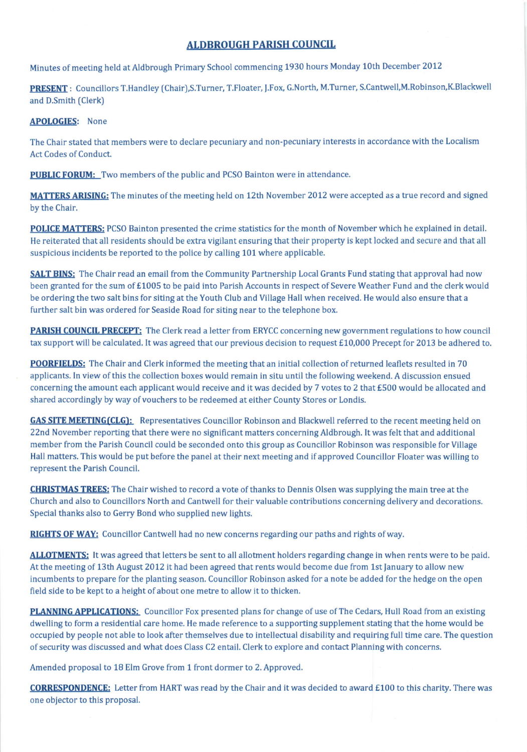## ALDBROUGH PARISH COUNCIL

Minutes of meeting held at Aldbrough Primary School commencing 1930 hours Monday 10th December 2012

PRESENT : Councillors T.Handley (Chair),S.Turner, T.Floater, J.Fox, G.North, M.Turner, S.Cantwell,M.Robinson,K.Blackwell and D.Smith (Clerk)

## APOLOGIES: None

The Chair stated that members were to declare pecuniary and non-pecuniary interests in accordance with the Localism Act Codes of Conduct.

**PUBLIC FORUM:** Two members of the public and PCSO Bainton were in attendance.

MATTERS ARISING: The minutes of the meeting held on 12th November 2012 were accepted as a true record and signed by the Chair.

POLICE MATTERS: PCSO Bainton presented the crime statistics for the month of November which he explained in detail. He reiterated that all residents should be extra vigilant ensuring that their property is kept locked and secure and that all suspicious incidents be reported to the police by calling 101 where applicable.

**SALT BINS:** The Chair read an email from the Community Partnership Local Grants Fund stating that approval had now been granted for the sum of £1005 to be paid into Parish Accounts in respect of Severe Weather Fund and the clerk would be ordering the two salt bins for siting at the Youth Club and Village Hall when received. He would also ensure that a further salt bin was ordered for Seaside Road for siting near to the telephone box.

**PARISH COUNCIL PRECEPT:** The Clerk read a letter from ERYCC concerning new government regulations to how council tax support will be calculated. It was agreed that our previous decision to request  $£10,000$  Precept for 2013 be adhered to.

**POORFIELDS:** The Chair and Clerk informed the meeting that an initial collection of returned leaflets resulted in 70 applicants. In view of this the collection boxes would remain in situ until the following weekend. A discussion ensued concerning the amount each applicant would receive and it was decided by 7 votes to 2 that £500 would be allocated and shared accordingly by way of vouchers to be redeemed at either County Stores or Londis.

**GAS SITE MEETING(CLG):** Representatives Councillor Robinson and Blackwell referred to the recent meeting held on 22nd November reporting that there were no significant matters concerning Aldbrough. It was felt that and additional member from the Parish Council could be seconded onto this group as Councillor Robinson was responsible for Village Hall matters. This would be put before the panel at their next meeting and if approved Councillor Floater was willing to represent the Parish Council.

**CHRISTMAS TREES:** The Chair wished to record a vote of thanks to Dennis Olsen was supplying the main tree at the Church and also to Councillors North and Cantwell for their valuable contributions concerning delivery and decorations. Special thanks also to Gerry Bond who supplied new lights.

RIGHTS OF WAY: Councillor Cantwell had no new concerns regarding our paths and rights of way.

ALLOTMENTS: It was agreed that letters be sent to all allotment holders regarding change in when rents were to be paid. At the meeting of 13th August 2012 it had been agreed that rents would become due from 1st January to allow new incumbents to prepare for the planting season. Councillor Robinson asked for a note be added for the hedge on the open field side to be kept to a height of about one metre to allow it to thicken.

PLANNING APPLICATIONS: Councillor Fox presented plans for change of use of The Cedars, Hull Road from an existing dwelling to form a residential care home. He made reference to a supporting supplement stating that the home would be occupied by people not able to look after themselves due to intellectual disability and requiring full time care. The question ofsecurity was discussed and what does Class C2 entail. Clerk to explore and contact Planning with concerns.

Amended proposal to 18 Elm Grove from 1 front dormer to 2. Approved.

CORRESPONDENCE: Letter from HART was read by the Chair and it was decided to award £100 to this charity. There was one obiector to this proposal.